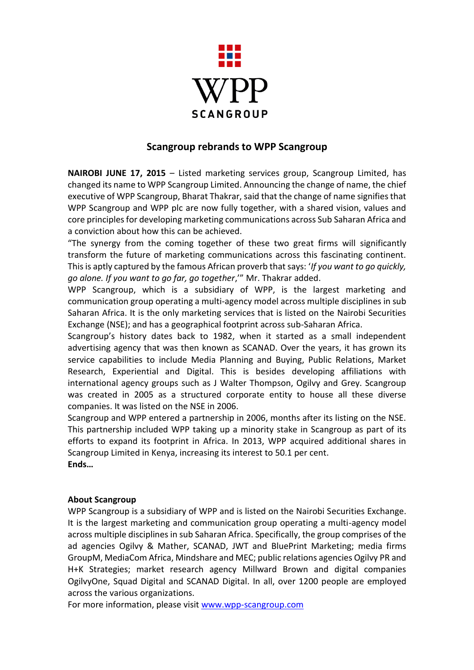

## **Scangroup rebrands to WPP Scangroup**

**NAIROBI JUNE 17, 2015** – Listed marketing services group, Scangroup Limited, has changed its name to WPP Scangroup Limited. Announcing the change of name, the chief executive of WPP Scangroup, Bharat Thakrar, said that the change of name signifies that WPP Scangroup and WPP plc are now fully together, with a shared vision, values and core principles for developing marketing communications across Sub Saharan Africa and a conviction about how this can be achieved.

"The synergy from the coming together of these two great firms will significantly transform the future of marketing communications across this fascinating continent. This is aptly captured by the famous African proverb that says: '*If you want to go quickly, go alone. If you want to go far, go together*,'" Mr. Thakrar added.

WPP Scangroup, which is a subsidiary of WPP, is the largest marketing and communication group operating a multi-agency model across multiple disciplines in sub Saharan Africa. It is the only marketing services that is listed on the Nairobi Securities Exchange (NSE); and has a geographical footprint across sub-Saharan Africa.

Scangroup's history dates back to 1982, when it started as a small independent advertising agency that was then known as SCANAD. Over the years, it has grown its service capabilities to include Media Planning and Buying, Public Relations, Market Research, Experiential and Digital. This is besides developing affiliations with international agency groups such as J Walter Thompson, Ogilvy and Grey. Scangroup was created in 2005 as a structured corporate entity to house all these diverse companies. It was listed on the NSE in 2006.

Scangroup and WPP entered a partnership in 2006, months after its listing on the NSE. This partnership included WPP taking up a minority stake in Scangroup as part of its efforts to expand its footprint in Africa. In 2013, WPP acquired additional shares in Scangroup Limited in Kenya, increasing its interest to 50.1 per cent.

**Ends…**

## **About Scangroup**

WPP Scangroup is a subsidiary of WPP and is listed on the Nairobi Securities Exchange. It is the largest marketing and communication group operating a multi-agency model across multiple disciplines in sub Saharan Africa. Specifically, the group comprises of the ad agencies Ogilvy & Mather, SCANAD, JWT and BluePrint Marketing; media firms GroupM, MediaCom Africa, Mindshare and MEC; public relations agencies Ogilvy PR and H+K Strategies; market research agency Millward Brown and digital companies OgilvyOne, Squad Digital and SCANAD Digital. In all, over 1200 people are employed across the various organizations.

For more information, please visit [www.wpp-scangroup.com](http://www.wpp-scangroup.com/)